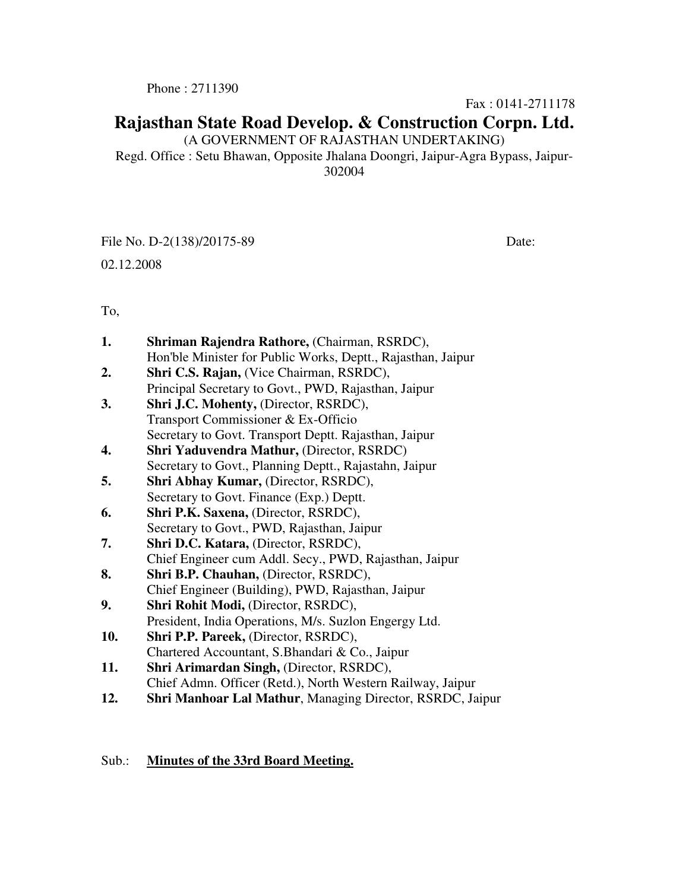Phone : 2711390

Fax : 0141-2711178

# **Rajasthan State Road Develop. & Construction Corpn. Ltd.**

(A GOVERNMENT OF RAJASTHAN UNDERTAKING)

Regd. Office : Setu Bhawan, Opposite Jhalana Doongri, Jaipur-Agra Bypass, Jaipur-302004

File No. D-2(138)/20175-89 Date:

02.12.2008

To,

| 1.  | Shriman Rajendra Rathore, (Chairman, RSRDC),                     |
|-----|------------------------------------------------------------------|
|     | Hon'ble Minister for Public Works, Deptt., Rajasthan, Jaipur     |
| 2.  | Shri C.S. Rajan, (Vice Chairman, RSRDC),                         |
|     | Principal Secretary to Govt., PWD, Rajasthan, Jaipur             |
| 3.  | Shri J.C. Mohenty, (Director, RSRDC),                            |
|     | Transport Commissioner & Ex-Officio                              |
|     | Secretary to Govt. Transport Deptt. Rajasthan, Jaipur            |
| 4.  | <b>Shri Yaduvendra Mathur, (Director, RSRDC)</b>                 |
|     | Secretary to Govt., Planning Deptt., Rajastahn, Jaipur           |
| 5.  | Shri Abhay Kumar, (Director, RSRDC),                             |
|     | Secretary to Govt. Finance (Exp.) Deptt.                         |
| 6.  | Shri P.K. Saxena, (Director, RSRDC),                             |
|     | Secretary to Govt., PWD, Rajasthan, Jaipur                       |
| 7.  | Shri D.C. Katara, (Director, RSRDC),                             |
|     | Chief Engineer cum Addl. Secy., PWD, Rajasthan, Jaipur           |
| 8.  | Shri B.P. Chauhan, (Director, RSRDC),                            |
|     | Chief Engineer (Building), PWD, Rajasthan, Jaipur                |
| 9.  | Shri Rohit Modi, (Director, RSRDC),                              |
|     | President, India Operations, M/s. Suzlon Engergy Ltd.            |
| 10. | Shri P.P. Pareek, (Director, RSRDC),                             |
|     | Chartered Accountant, S.Bhandari & Co., Jaipur                   |
| 11. | Shri Arimardan Singh, (Director, RSRDC),                         |
|     | Chief Admn. Officer (Retd.), North Western Railway, Jaipur       |
| 12. | <b>Shri Manhoar Lal Mathur, Managing Director, RSRDC, Jaipur</b> |
|     |                                                                  |

## Sub.: **Minutes of the 33rd Board Meeting.**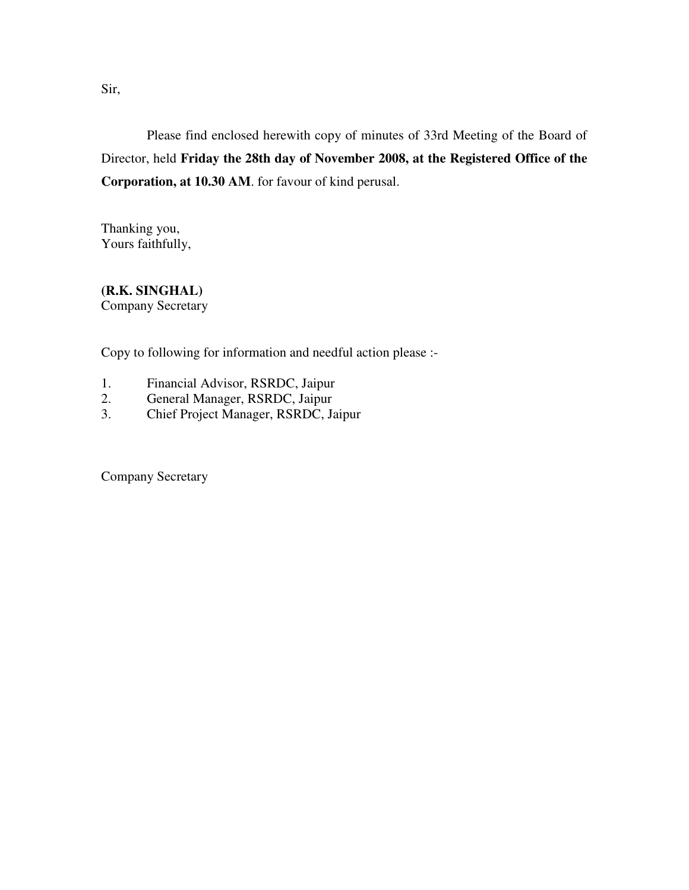Sir,

 Please find enclosed herewith copy of minutes of 33rd Meeting of the Board of Director, held **Friday the 28th day of November 2008, at the Registered Office of the Corporation, at 10.30 AM**. for favour of kind perusal.

Thanking you, Yours faithfully,

**(R.K. SINGHAL)**  Company Secretary

Copy to following for information and needful action please :-

- 1. Financial Advisor, RSRDC, Jaipur
- 2. General Manager, RSRDC, Jaipur
- 3. Chief Project Manager, RSRDC, Jaipur

Company Secretary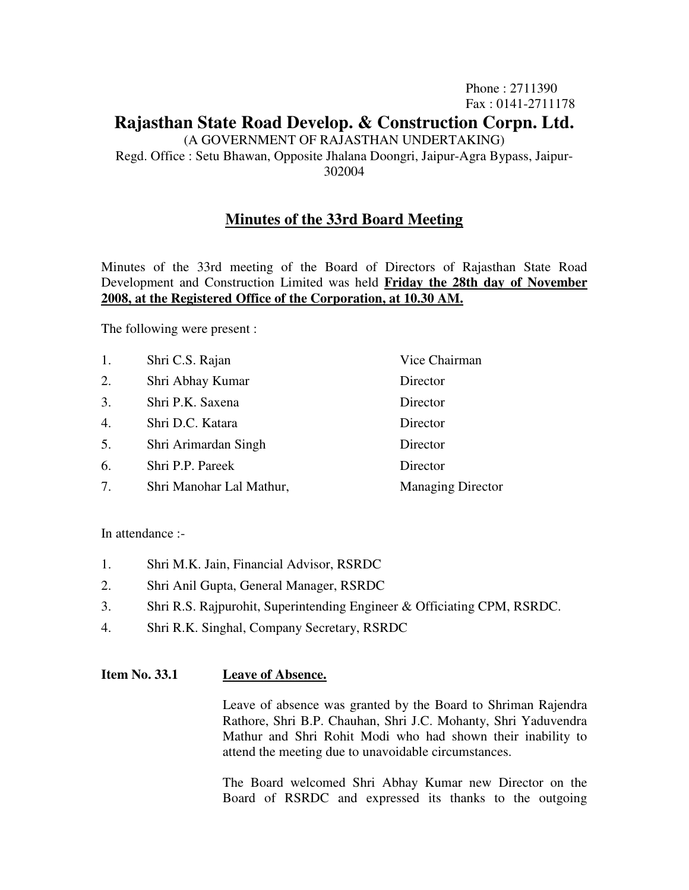Phone : 2711390 Fax : 0141-2711178

# **Rajasthan State Road Develop. & Construction Corpn. Ltd.**

(A GOVERNMENT OF RAJASTHAN UNDERTAKING)

Regd. Office : Setu Bhawan, Opposite Jhalana Doongri, Jaipur-Agra Bypass, Jaipur-302004

## **Minutes of the 33rd Board Meeting**

Minutes of the 33rd meeting of the Board of Directors of Rajasthan State Road Development and Construction Limited was held **Friday the 28th day of November 2008, at the Registered Office of the Corporation, at 10.30 AM.**

The following were present :

| 1.               | Shri C.S. Rajan          | Vice Chairman            |
|------------------|--------------------------|--------------------------|
| 2.               | Shri Abhay Kumar         | Director                 |
| 3.               | Shri P.K. Saxena         | Director                 |
| $\overline{4}$ . | Shri D.C. Katara         | Director                 |
| 5.               | Shri Arimardan Singh     | Director                 |
| 6.               | Shri P.P. Pareek         | Director                 |
| 7.               | Shri Manohar Lal Mathur, | <b>Managing Director</b> |

In attendance :-

- 1. Shri M.K. Jain, Financial Advisor, RSRDC
- 2. Shri Anil Gupta, General Manager, RSRDC
- 3. Shri R.S. Rajpurohit, Superintending Engineer & Officiating CPM, RSRDC.
- 4. Shri R.K. Singhal, Company Secretary, RSRDC

## **Item No. 33.1 Leave of Absence.**

 Leave of absence was granted by the Board to Shriman Rajendra Rathore, Shri B.P. Chauhan, Shri J.C. Mohanty, Shri Yaduvendra Mathur and Shri Rohit Modi who had shown their inability to attend the meeting due to unavoidable circumstances.

 The Board welcomed Shri Abhay Kumar new Director on the Board of RSRDC and expressed its thanks to the outgoing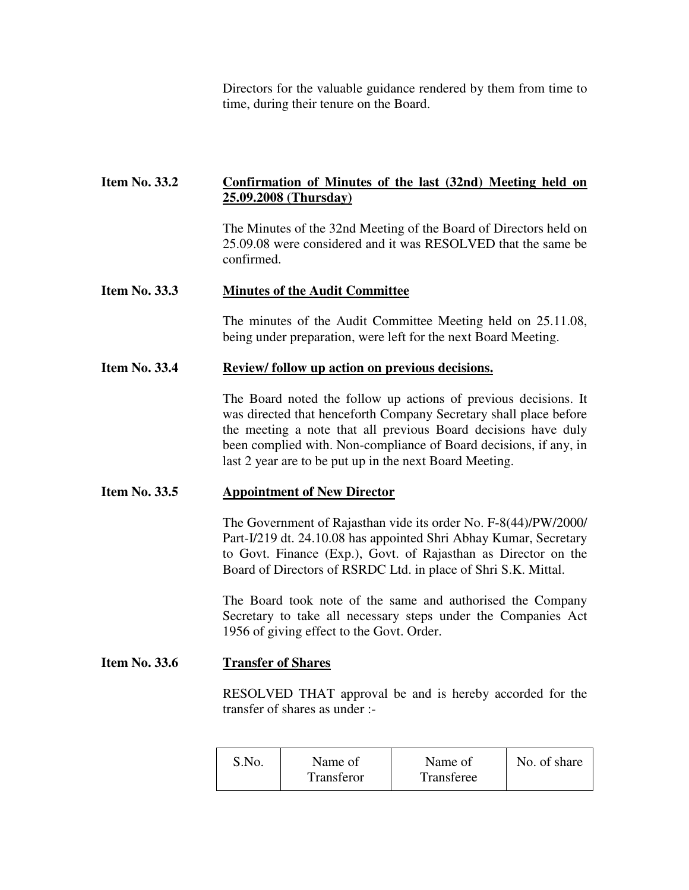Directors for the valuable guidance rendered by them from time to time, during their tenure on the Board.

## **Item No. 33.2 Confirmation of Minutes of the last (32nd) Meeting held on 25.09.2008 (Thursday)**

 The Minutes of the 32nd Meeting of the Board of Directors held on 25.09.08 were considered and it was RESOLVED that the same be confirmed.

## **Item No. 33.3 Minutes of the Audit Committee**

 The minutes of the Audit Committee Meeting held on 25.11.08, being under preparation, were left for the next Board Meeting.

## Item No. 33.4 Review/ follow up action on previous decisions.

 The Board noted the follow up actions of previous decisions. It was directed that henceforth Company Secretary shall place before the meeting a note that all previous Board decisions have duly been complied with. Non-compliance of Board decisions, if any, in last 2 year are to be put up in the next Board Meeting.

## **Item No. 33.5 Appointment of New Director**

 The Government of Rajasthan vide its order No. F-8(44)/PW/2000/ Part-I/219 dt. 24.10.08 has appointed Shri Abhay Kumar, Secretary to Govt. Finance (Exp.), Govt. of Rajasthan as Director on the Board of Directors of RSRDC Ltd. in place of Shri S.K. Mittal.

 The Board took note of the same and authorised the Company Secretary to take all necessary steps under the Companies Act 1956 of giving effect to the Govt. Order.

## **Item No. 33.6 Transfer of Shares**

 RESOLVED THAT approval be and is hereby accorded for the transfer of shares as under :-

| S.No. | Name of<br>Transferor | Name of<br>Transferee | No. of share |
|-------|-----------------------|-----------------------|--------------|
|-------|-----------------------|-----------------------|--------------|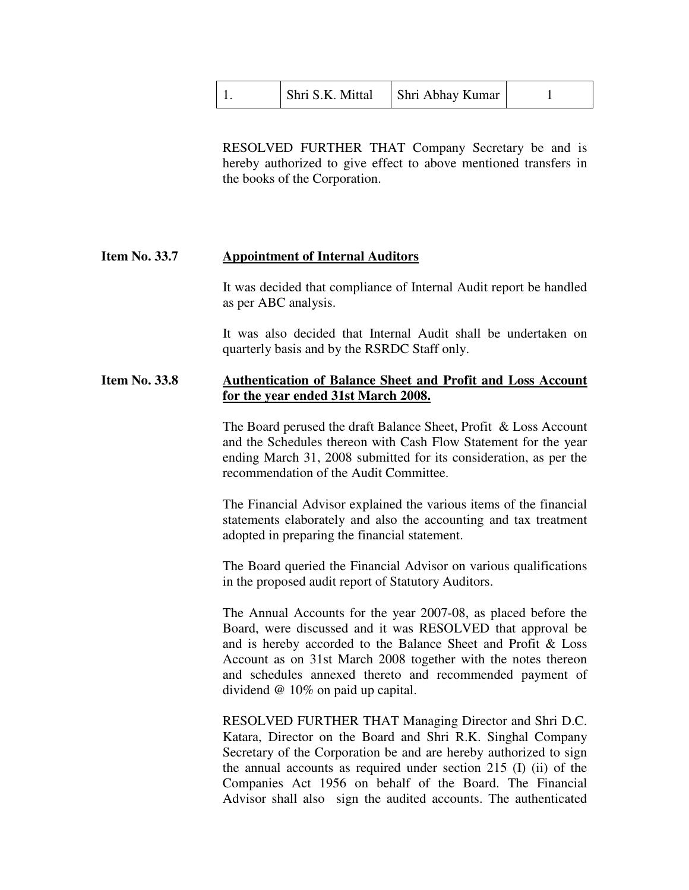| Shri S.K. Mittal | Shri Abhay Kumar |  |
|------------------|------------------|--|
|------------------|------------------|--|

 RESOLVED FURTHER THAT Company Secretary be and is hereby authorized to give effect to above mentioned transfers in the books of the Corporation.

#### **Item No. 33.7 Appointment of Internal Auditors**

 It was decided that compliance of Internal Audit report be handled as per ABC analysis.

 It was also decided that Internal Audit shall be undertaken on quarterly basis and by the RSRDC Staff only.

## **Item No. 33.8 Authentication of Balance Sheet and Profit and Loss Account for the year ended 31st March 2008.**

 The Board perused the draft Balance Sheet, Profit & Loss Account and the Schedules thereon with Cash Flow Statement for the year ending March 31, 2008 submitted for its consideration, as per the recommendation of the Audit Committee.

 The Financial Advisor explained the various items of the financial statements elaborately and also the accounting and tax treatment adopted in preparing the financial statement.

 The Board queried the Financial Advisor on various qualifications in the proposed audit report of Statutory Auditors.

 The Annual Accounts for the year 2007-08, as placed before the Board, were discussed and it was RESOLVED that approval be and is hereby accorded to the Balance Sheet and Profit & Loss Account as on 31st March 2008 together with the notes thereon and schedules annexed thereto and recommended payment of dividend @ 10% on paid up capital.

 RESOLVED FURTHER THAT Managing Director and Shri D.C. Katara, Director on the Board and Shri R.K. Singhal Company Secretary of the Corporation be and are hereby authorized to sign the annual accounts as required under section 215 (I) (ii) of the Companies Act 1956 on behalf of the Board. The Financial Advisor shall also sign the audited accounts. The authenticated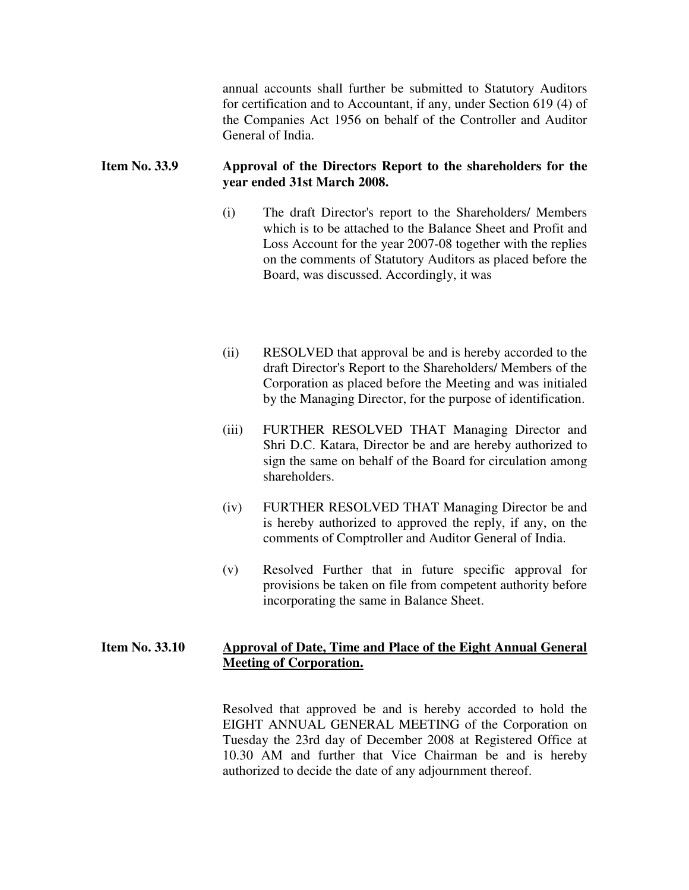annual accounts shall further be submitted to Statutory Auditors for certification and to Accountant, if any, under Section 619 (4) of the Companies Act 1956 on behalf of the Controller and Auditor General of India.

## **Item No. 33.9 Approval of the Directors Report to the shareholders for the year ended 31st March 2008.**

- (i) The draft Director's report to the Shareholders/ Members which is to be attached to the Balance Sheet and Profit and Loss Account for the year 2007-08 together with the replies on the comments of Statutory Auditors as placed before the Board, was discussed. Accordingly, it was
- (ii) RESOLVED that approval be and is hereby accorded to the draft Director's Report to the Shareholders/ Members of the Corporation as placed before the Meeting and was initialed by the Managing Director, for the purpose of identification.
- (iii) FURTHER RESOLVED THAT Managing Director and Shri D.C. Katara, Director be and are hereby authorized to sign the same on behalf of the Board for circulation among shareholders.
- (iv) FURTHER RESOLVED THAT Managing Director be and is hereby authorized to approved the reply, if any, on the comments of Comptroller and Auditor General of India.
- (v) Resolved Further that in future specific approval for provisions be taken on file from competent authority before incorporating the same in Balance Sheet.

## **Item No. 33.10 Approval of Date, Time and Place of the Eight Annual General Meeting of Corporation.**

 Resolved that approved be and is hereby accorded to hold the EIGHT ANNUAL GENERAL MEETING of the Corporation on Tuesday the 23rd day of December 2008 at Registered Office at 10.30 AM and further that Vice Chairman be and is hereby authorized to decide the date of any adjournment thereof.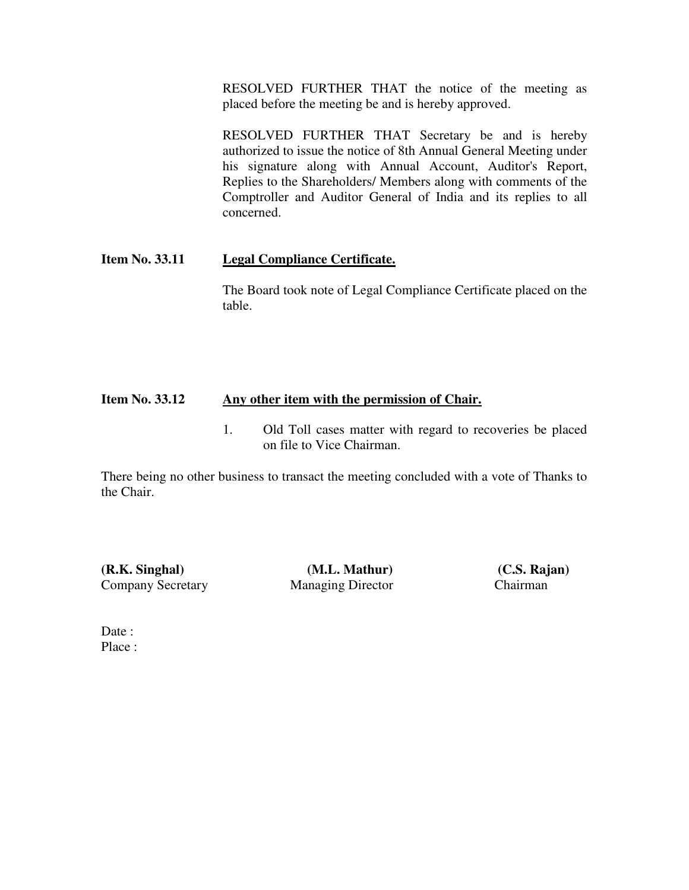RESOLVED FURTHER THAT the notice of the meeting as placed before the meeting be and is hereby approved.

 RESOLVED FURTHER THAT Secretary be and is hereby authorized to issue the notice of 8th Annual General Meeting under his signature along with Annual Account, Auditor's Report, Replies to the Shareholders/ Members along with comments of the Comptroller and Auditor General of India and its replies to all concerned.

## **Item No. 33.11 Legal Compliance Certificate.**

 The Board took note of Legal Compliance Certificate placed on the table.

## **Item No. 33.12 Any other item with the permission of Chair.**

 1. Old Toll cases matter with regard to recoveries be placed on file to Vice Chairman.

There being no other business to transact the meeting concluded with a vote of Thanks to the Chair.

**(R.K. Singhal) (M.L. Mathur) (C.S. Rajan)**  Company Secretary Managing Director Chairman

Date: Place :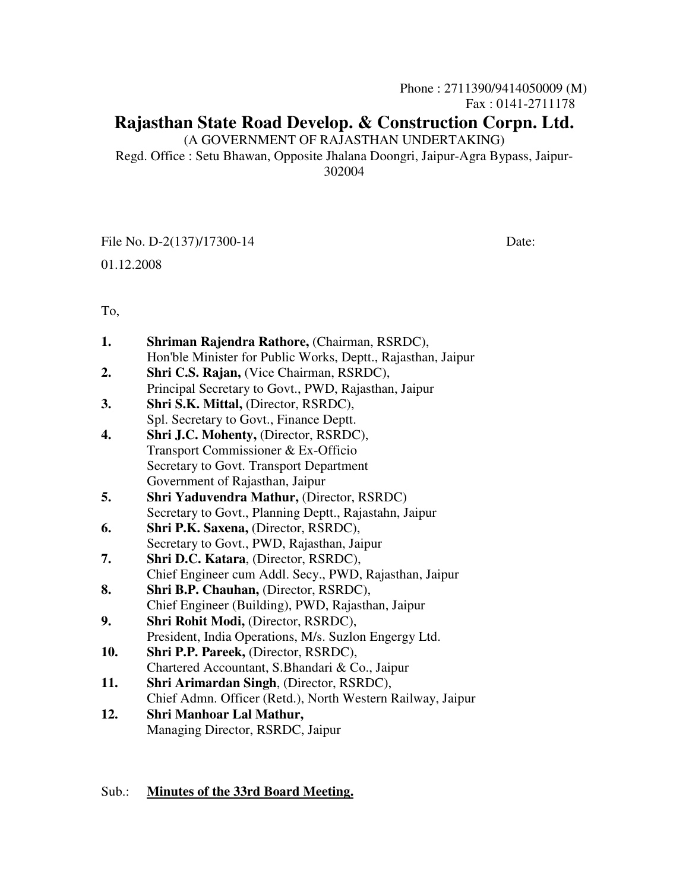Phone : 2711390/9414050009 (M) Fax : 0141-2711178

# **Rajasthan State Road Develop. & Construction Corpn. Ltd.**

(A GOVERNMENT OF RAJASTHAN UNDERTAKING)

Regd. Office : Setu Bhawan, Opposite Jhalana Doongri, Jaipur-Agra Bypass, Jaipur-302004

File No. D-2(137)/17300-14 Date:

01.12.2008

To,

| 1.  | Shriman Rajendra Rathore, (Chairman, RSRDC),                 |
|-----|--------------------------------------------------------------|
|     | Hon'ble Minister for Public Works, Deptt., Rajasthan, Jaipur |
| 2.  | Shri C.S. Rajan, (Vice Chairman, RSRDC),                     |
|     | Principal Secretary to Govt., PWD, Rajasthan, Jaipur         |
| 3.  | Shri S.K. Mittal, (Director, RSRDC),                         |
|     | Spl. Secretary to Govt., Finance Deptt.                      |
| 4.  | Shri J.C. Mohenty, (Director, RSRDC),                        |
|     | Transport Commissioner & Ex-Officio                          |
|     | Secretary to Govt. Transport Department                      |
|     | Government of Rajasthan, Jaipur                              |
| 5.  | <b>Shri Yaduvendra Mathur, (Director, RSRDC)</b>             |
|     | Secretary to Govt., Planning Deptt., Rajastahn, Jaipur       |
| 6.  | Shri P.K. Saxena, (Director, RSRDC),                         |
|     | Secretary to Govt., PWD, Rajasthan, Jaipur                   |
| 7.  | Shri D.C. Katara, (Director, RSRDC),                         |
|     | Chief Engineer cum Addl. Secy., PWD, Rajasthan, Jaipur       |
| 8.  | Shri B.P. Chauhan, (Director, RSRDC),                        |
|     | Chief Engineer (Building), PWD, Rajasthan, Jaipur            |
| 9.  | Shri Rohit Modi, (Director, RSRDC),                          |
|     | President, India Operations, M/s. Suzlon Engergy Ltd.        |
| 10. | Shri P.P. Pareek, (Director, RSRDC),                         |
|     | Chartered Accountant, S.Bhandari & Co., Jaipur               |
| 11. | Shri Arimardan Singh, (Director, RSRDC),                     |
|     | Chief Admn. Officer (Retd.), North Western Railway, Jaipur   |
| 12. | Shri Manhoar Lal Mathur,                                     |
|     | Managing Director, RSRDC, Jaipur                             |
|     |                                                              |
|     |                                                              |

## Sub.: **Minutes of the 33rd Board Meeting.**